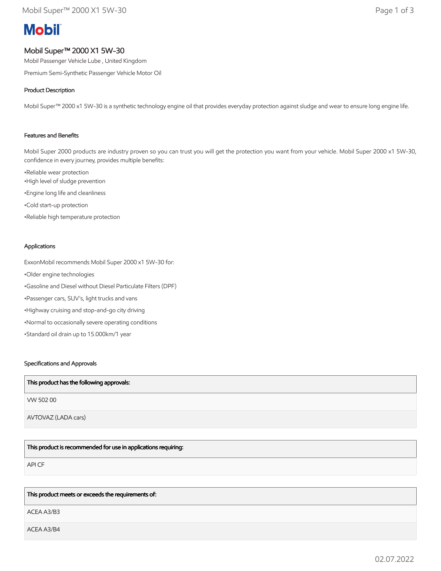# **Mobil**

# Mobil Super™ 2000 X1 5W-30

Mobil Passenger Vehicle Lube , United Kingdom

Premium Semi-Synthetic Passenger Vehicle Motor Oil

# Product Description

Mobil Super™ 2000 x1 5W-30 is a synthetic technology engine oil that provides everyday protection against sludge and wear to ensure long engine life.

### Features and Benefits

Mobil Super 2000 products are industry proven so you can trust you will get the protection you want from your vehicle. Mobil Super 2000 x1 5W-30, confidence in every journey, provides multiple benefits:

•Reliable wear protection •High level of sludge prevention •Engine long life and cleanliness •Cold start-up protection •Reliable high temperature protection

#### Applications

ExxonMobil recommends Mobil Super 2000 x1 5W-30 for: •Older engine technologies •Gasoline and Diesel without Diesel Particulate Filters (DPF) •Passenger cars, SUV's, light trucks and vans •Highway cruising and stop-and-go city driving •Normal to occasionally severe operating conditions •Standard oil drain up to 15.000km/1 year

# Specifications and Approvals

| This product has the following approvals: |
|-------------------------------------------|
| VW 50200                                  |
| AVTOVAZ (LADA cars)                       |

This product is recommended for use in applications requiring:

API CF

#### This product meets or exceeds the requirements of:

ACEA A3/B3

ACEA A3/B4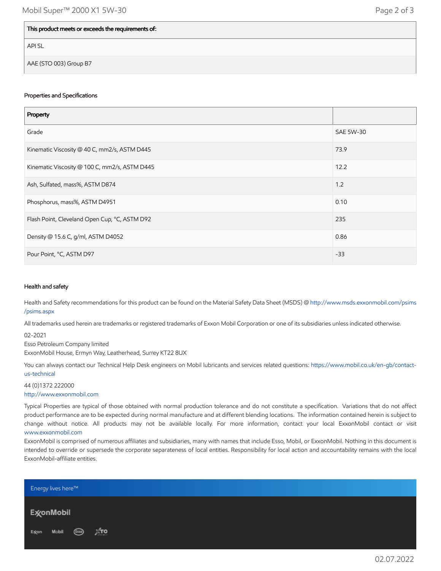### This product meets or exceeds the requirements of:

API SL

AAE (STO 003) Group B7

#### Properties and Specifications

| Property                                      |           |
|-----------------------------------------------|-----------|
| Grade                                         | SAE 5W-30 |
| Kinematic Viscosity @ 40 C, mm2/s, ASTM D445  | 73.9      |
| Kinematic Viscosity @ 100 C, mm2/s, ASTM D445 | 12.2      |
| Ash, Sulfated, mass%, ASTM D874               | 1.2       |
| Phosphorus, mass%, ASTM D4951                 | 0.10      |
| Flash Point, Cleveland Open Cup, °C, ASTM D92 | 235       |
| Density @ 15.6 C, g/ml, ASTM D4052            | 0.86      |
| Pour Point, °C, ASTM D97                      | $-33$     |

#### Health and safety

Health and Safety recommendations for this product can be found on the Material Safety Data Sheet (MSDS) @ [http://www.msds.exxonmobil.com/psims](http://www.msds.exxonmobil.com/psims/psims.aspx) /psims.aspx

All trademarks used herein are trademarks or registered trademarks of Exxon Mobil Corporation or one of its subsidiaries unless indicated otherwise.

02-2021

Esso Petroleum Company limited

ExxonMobil House, Ermyn Way, Leatherhead, Surrey KT22 8UX

You can always contact our Technical Help Desk engineers on Mobil lubricants and services related questions: [https://www.mobil.co.uk/en-gb/contact](https://www.mobil.co.uk/en-gb/contact-us-technical)us-technical

44 (0)1372 222000 [http://www.exxonmobil.com](http://www.exxonmobil.com/)

Typical Properties are typical of those obtained with normal production tolerance and do not constitute a specification. Variations that do not affect product performance are to be expected during normal manufacture and at different blending locations. The information contained herein is subject to change without notice. All products may not be available locally. For more information, contact your local ExxonMobil contact or visit [www.exxonmobil.com](http://www.exxonmobil.com/)

ExxonMobil is comprised of numerous affiliates and subsidiaries, many with names that include Esso, Mobil, or ExxonMobil. Nothing in this document is intended to override or supersede the corporate separateness of local entities. Responsibility for local action and accountability remains with the local ExxonMobil-affiliate entities.

| <b>Energy lives here™</b> |     |  |
|---------------------------|-----|--|
| Ex⁄onMobil                |     |  |
| Mobil (Esso)<br>Ex⁄on     | Дто |  |